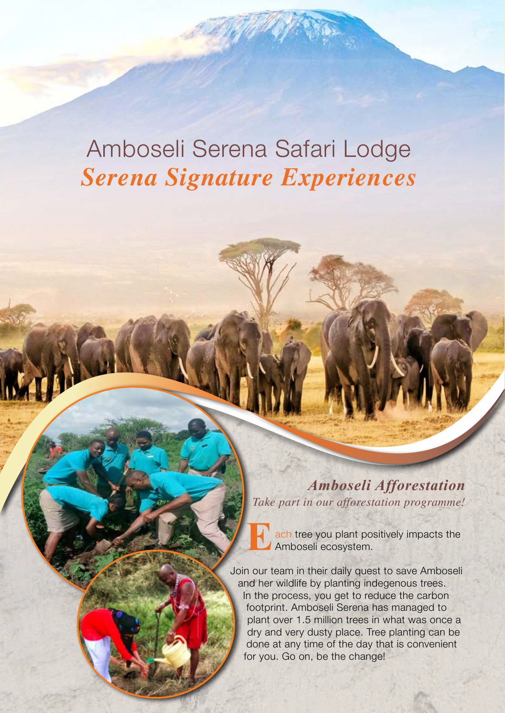# Amboseli Serena Safari Lodge *Serena Signature Experiences*

*Amboseli Afforestation Take part in our afforestation programme!*

**Each tree you plant positively impacts the Amboseli ecosystem.** Amboseli ecosystem.

Join our team in their daily quest to save Amboseli and her wildlife by planting indegenous trees. In the process, you get to reduce the carbon footprint. Amboseli Serena has managed to plant over 1.5 million trees in what was once a dry and very dusty place. Tree planting can be done at any time of the day that is convenient for you. Go on, be the change!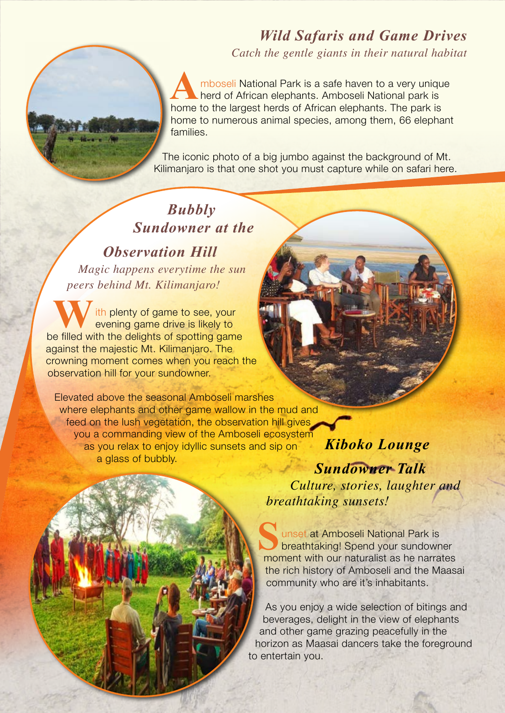### *Wild Safaris and Game Drives*

*Catch the gentle giants in their natural habitat*

A mboseli National Park is a safe haven to a very unique<br>herd of African elephants. Amboseli National park is<br>home to the largest herds of African elephants. The park is herd of African elephants. Amboseli National park is home to the largest herds of African elephants. The park is home to numerous animal species, among them, 66 elephant families.

The iconic photo of a big jumbo against the background of Mt. Kilimanjaro is that one shot you must capture while on safari here.

### *Bubbly Sundowner at the*

*Observation Hill Magic happens everytime the sun peers behind Mt. Kilimanjaro!*

ith plenty of game to see, your evening game drive is likely to be filled with the delights of spotting game against the majestic Mt. Kilimanjaro. The crowning moment comes when you reach the observation hill for your sundowner.

Elevated above the seasonal Amboseli marshes where elephants and other game wallow in the mud and feed on the lush vegetation, the observation hill gives you a commanding view of the Amboseli ecosystem as you relax to enjoy idyllic sunsets and sip on a glass of bubbly.

*Kiboko Lounge Sundowner Talk Culture, stories, laughter and breathtaking sunsets!*

**S**unset at Amboseli National Park is<br>breathtaking! Spend your sundown<br>moment with our naturalist as be narra breathtaking! Spend your sundowner moment with our naturalist as he narrates the rich history of Amboseli and the Maasai community who are it's inhabitants.

As you enjoy a wide selection of bitings and beverages, delight in the view of elephants and other game grazing peacefully in the horizon as Maasai dancers take the foreground to entertain you.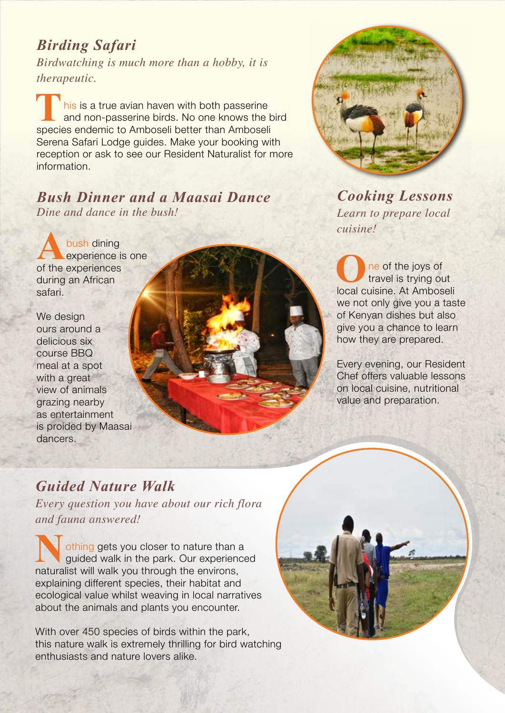### *Birding Safari*

*Birdwatching is much more than a hobby, it is therapeutic.*

his is a true avian haven with both passerine and non-passerine birds. No one knows the bird species endemic to Amboseli better than Amboseli Serena Safari Lodge guides. Make your booking with reception or ask to see our Resident Naturalist for more information.

#### *Bush Dinner and a Maasai Dance Dine and dance in the bush!*

A<br>**A**bush dining<br>of the experiences experience is one of the experiences during an African safari.

We design ours around a delicious six course BBQ meal at a spot with a great view of animals grazing nearby as entertainment is proided by Maasai dancers.





*Cooking Lessons Learn to prepare local cuisine!*

ne of the joys of travel is trying out local cuisine. At Amboseli we not only give you a taste of Kenyan dishes but also give you a chance to learn how they are prepared.

Every evening, our Resident Chef offers valuable lessons on local cuisine, nutritional value and preparation.

### *Guided Nature Walk*

*Every question you have about our rich flora and fauna answered!*

othing gets you closer to nature than a<br>guided walk in the park. Our experience guided walk in the park. Our experienced naturalist will walk you through the environs, explaining different species, their habitat and ecological value whilst weaving in local narratives about the animals and plants you encounter.

With over 450 species of birds within the park, this nature walk is extremely thrilling for bird watching enthusiasts and nature lovers alike.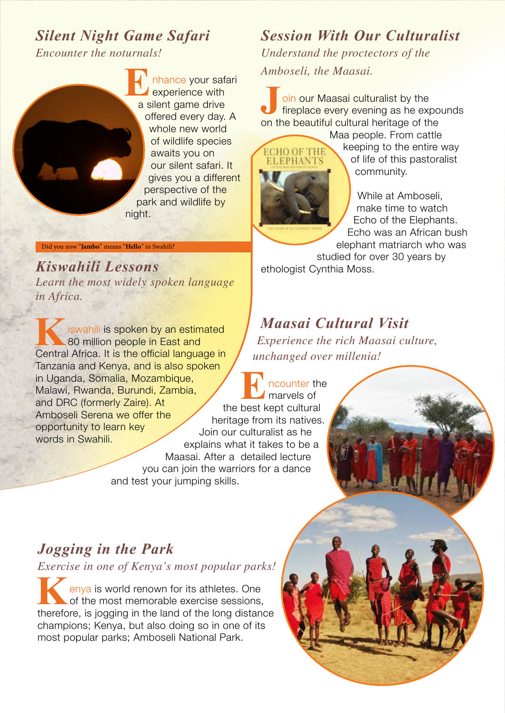### *Silent Night Game Safari*

*Encounter the noturnals!*

Did you now "**Jambo**" means "**Hello**" in Swahili?

*in Africa.*

words in Swahili.

*Learn the most widely spoken language* 

80 million people in East and Central Africa. It is the official language in Tanzania and Kenya, and is also spoken

**Kancer is wahili is spoken by an estimated** 

**E**nhance your safari experience with a silent game drive offered every day. A whole new world of wildlife species awaits you on our silent safari. It gives you a different perspective of the park and wildlife by night.

## *Session With Our Culturalist*

*Understand the proctectors of the Amboseli, the Maasai.*

**Join our Maasai culturalist by the** fireplace every evening as he expounds on the beautiful cultural heritage of the

**ECHO OF THE ELEPHANTS** 

Maa people. From cattle keeping to the entire way of life of this pastoralist community.

While at Amboseli, make time to watch Echo of the Elephants. Echo was an African bush elephant matriarch who was

studied for over 30 years by **Kiswahili Lessons** ethologist Cynthia Moss.

### *Maasai Cultural Visit*

*Experience the rich Maasai culture, unchanged over millenia!*

in Uganda, Somalia, Mozambique, Malawi, Rwanda, Burundi, Zambia, and DRC (formerly Zaire). At Amboseli Serena we offer the opportunity to learn key **ncounter the** marvels of the best kept cultural heritage from its natives. Join our culturalist as he explains what it takes to be a Maasai. After a detailed lecture you can join the warriors for a dance and test your jumping skills.

### *Jogging in the Park*

*Exercise in one of Kenya's most popular parks!*

**K**enya is world renown for its athletes. One<br>of the most memorable exercise sessions, of the most memorable exercise sessions, therefore, is jogging in the land of the long distance champions; Kenya, but also doing so in one of its most popular parks; Amboseli National Park.